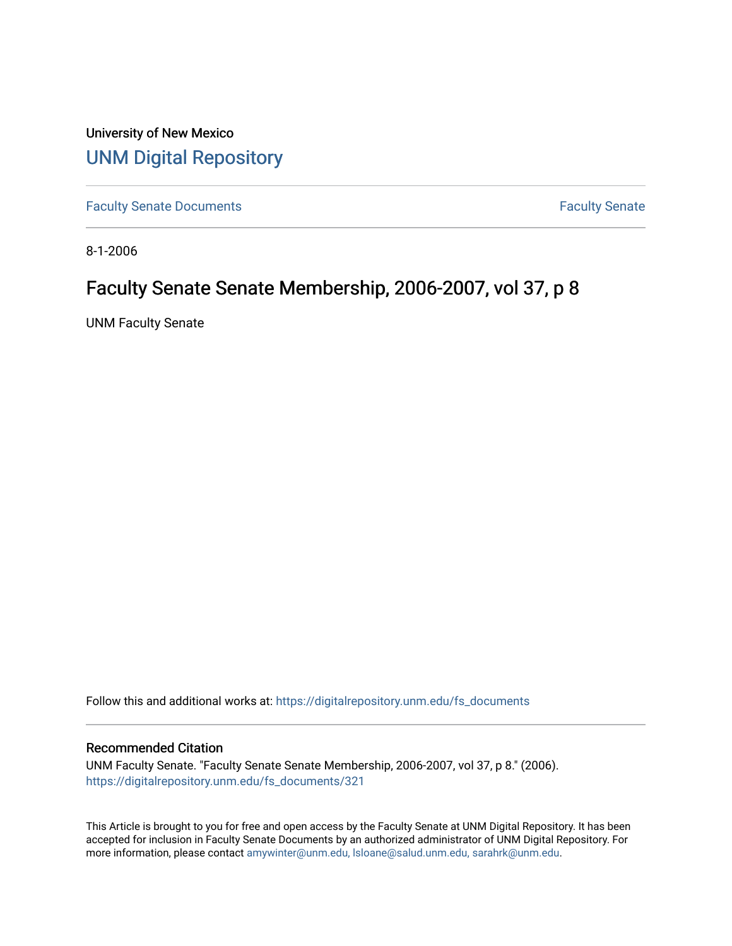University of New Mexico [UNM Digital Repository](https://digitalrepository.unm.edu/) 

[Faculty Senate Documents](https://digitalrepository.unm.edu/fs_documents) **Faculty** Senate **Faculty** Senate

8-1-2006

## Faculty Senate Senate Membership, 2006-2007, vol 37, p 8

UNM Faculty Senate

Follow this and additional works at: [https://digitalrepository.unm.edu/fs\\_documents](https://digitalrepository.unm.edu/fs_documents?utm_source=digitalrepository.unm.edu%2Ffs_documents%2F321&utm_medium=PDF&utm_campaign=PDFCoverPages)

## Recommended Citation

UNM Faculty Senate. "Faculty Senate Senate Membership, 2006-2007, vol 37, p 8." (2006). [https://digitalrepository.unm.edu/fs\\_documents/321](https://digitalrepository.unm.edu/fs_documents/321?utm_source=digitalrepository.unm.edu%2Ffs_documents%2F321&utm_medium=PDF&utm_campaign=PDFCoverPages)

This Article is brought to you for free and open access by the Faculty Senate at UNM Digital Repository. It has been accepted for inclusion in Faculty Senate Documents by an authorized administrator of UNM Digital Repository. For more information, please contact [amywinter@unm.edu, lsloane@salud.unm.edu, sarahrk@unm.edu](mailto:amywinter@unm.edu,%20lsloane@salud.unm.edu,%20sarahrk@unm.edu).